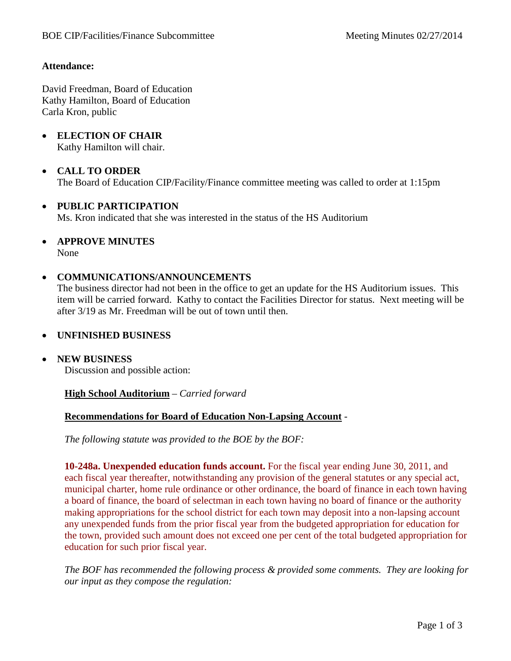### **Attendance:**

David Freedman, Board of Education Kathy Hamilton, Board of Education Carla Kron, public

• **ELECTION OF CHAIR** Kathy Hamilton will chair.

# • **CALL TO ORDER**

The Board of Education CIP/Facility/Finance committee meeting was called to order at 1:15pm

#### • **PUBLIC PARTICIPATION**

Ms. Kron indicated that she was interested in the status of the HS Auditorium

• **APPROVE MINUTES** None

#### • **COMMUNICATIONS/ANNOUNCEMENTS**

The business director had not been in the office to get an update for the HS Auditorium issues. This item will be carried forward. Kathy to contact the Facilities Director for status. Next meeting will be after 3/19 as Mr. Freedman will be out of town until then.

#### • **UNFINISHED BUSINESS**

• **NEW BUSINESS**

Discussion and possible action:

#### **High School Auditorium** – *Carried forward*

#### **Recommendations for Board of Education Non-Lapsing Account** *-*

*The following statute was provided to the BOE by the BOF:*

**10-248a. Unexpended education funds account.** For the fiscal year ending June 30, 2011, and each fiscal year thereafter, notwithstanding any provision of the general statutes or any special act, municipal charter, home rule ordinance or other ordinance, the board of finance in each town having a board of finance, the board of selectman in each town having no board of finance or the authority making appropriations for the school district for each town may deposit into a non-lapsing account any unexpended funds from the prior fiscal year from the budgeted appropriation for education for the town, provided such amount does not exceed one per cent of the total budgeted appropriation for education for such prior fiscal year.

*The BOF has recommended the following process & provided some comments. They are looking for our input as they compose the regulation:*